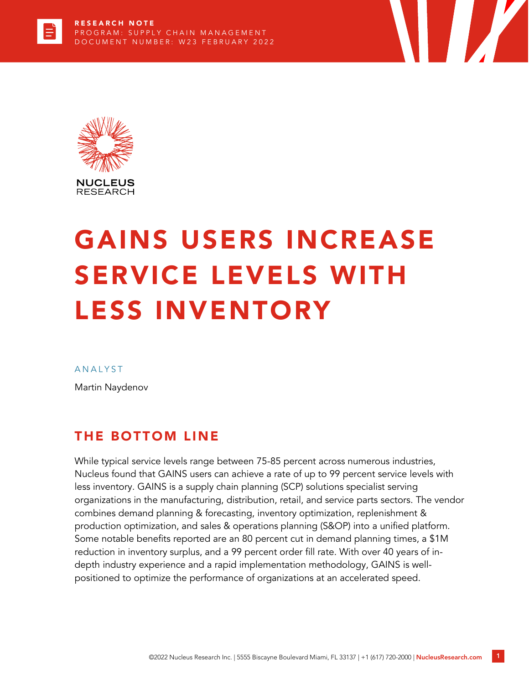

# GAINS USERS INCREASE SERVICE LEVELS WITH LESS INVENTORY

#### **ANALYST**

Martin Naydenov

## THE BOTTOM LINE

While typical service levels range between 75-85 percent across numerous industries, Nucleus found that GAINS users can achieve a rate of up to 99 percent service levels with less inventory. GAINS is a supply chain planning (SCP) solutions specialist serving organizations in the manufacturing, distribution, retail, and service parts sectors. The vendor combines demand planning & forecasting, inventory optimization, replenishment & production optimization, and sales & operations planning (S&OP) into a unified platform. Some notable benefits reported are an 80 percent cut in demand planning times, a \$1M reduction in inventory surplus, and a 99 percent order fill rate. With over 40 years of indepth industry experience and a rapid implementation methodology, GAINS is wellpositioned to optimize the performance of organizations at an accelerated speed.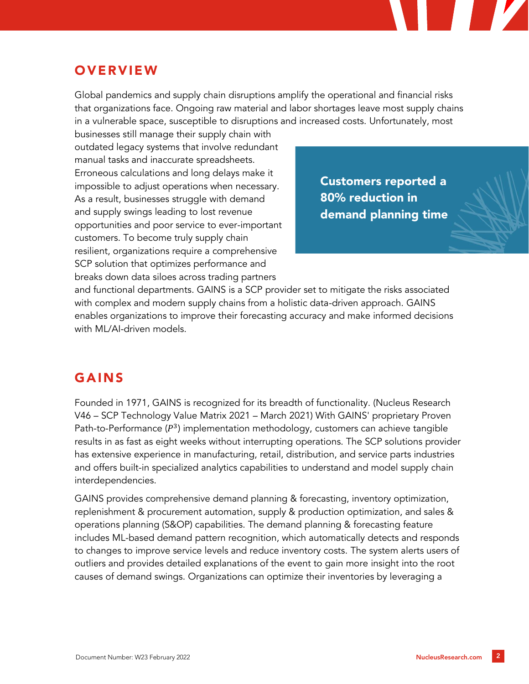# **OVERVIEW**

Global pandemics and supply chain disruptions amplify the operational and financial risks that organizations face. Ongoing raw material and labor shortages leave most supply chains in a vulnerable space, susceptible to disruptions and increased costs. Unfortunately, most

businesses still manage their supply chain with outdated legacy systems that involve redundant manual tasks and inaccurate spreadsheets. Erroneous calculations and long delays make it impossible to adjust operations when necessary. As a result, businesses struggle with demand and supply swings leading to lost revenue opportunities and poor service to ever-important customers. To become truly supply chain resilient, organizations require a comprehensive SCP solution that optimizes performance and breaks down data siloes across trading partners

Customers reported a 80% reduction in demand planning time

and functional departments. GAINS is a SCP provider set to mitigate the risks associated with complex and modern supply chains from a holistic data-driven approach. GAINS enables organizations to improve their forecasting accuracy and make informed decisions with ML/AI-driven models.

## GAINS

Founded in 1971, GAINS is recognized for its breadth of functionality. (Nucleus Research V46 – SCP Technology Value Matrix 2021 – March 2021) With GAINS' proprietary Proven Path-to-Performance  $(P^3)$  implementation methodology, customers can achieve tangible results in as fast as eight weeks without interrupting operations. The SCP solutions provider has extensive experience in manufacturing, retail, distribution, and service parts industries and offers built-in specialized analytics capabilities to understand and model supply chain interdependencies.

GAINS provides comprehensive demand planning & forecasting, inventory optimization, replenishment & procurement automation, supply & production optimization, and sales & operations planning (S&OP) capabilities. The demand planning & forecasting feature includes ML-based demand pattern recognition, which automatically detects and responds to changes to improve service levels and reduce inventory costs. The system alerts users of outliers and provides detailed explanations of the event to gain more insight into the root causes of demand swings. Organizations can optimize their inventories by leveraging a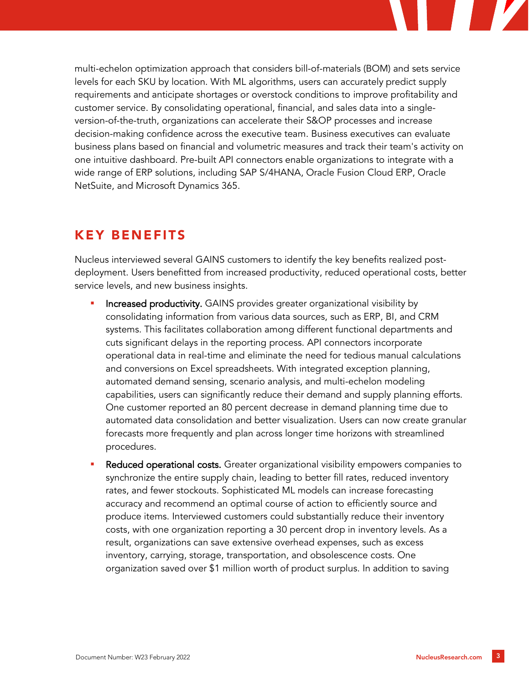

multi-echelon optimization approach that considers bill-of-materials (BOM) and sets service levels for each SKU by location. With ML algorithms, users can accurately predict supply requirements and anticipate shortages or overstock conditions to improve profitability and customer service. By consolidating operational, financial, and sales data into a singleversion-of-the-truth, organizations can accelerate their S&OP processes and increase decision-making confidence across the executive team. Business executives can evaluate business plans based on financial and volumetric measures and track their team's activity on one intuitive dashboard. Pre-built API connectors enable organizations to integrate with a wide range of ERP solutions, including SAP S/4HANA, Oracle Fusion Cloud ERP, Oracle NetSuite, and Microsoft Dynamics 365.

# KEY BENEFITS

Nucleus interviewed several GAINS customers to identify the key benefits realized postdeployment. Users benefitted from increased productivity, reduced operational costs, better service levels, and new business insights.

- Increased productivity. GAINS provides greater organizational visibility by consolidating information from various data sources, such as ERP, BI, and CRM systems. This facilitates collaboration among different functional departments and cuts significant delays in the reporting process. API connectors incorporate operational data in real-time and eliminate the need for tedious manual calculations and conversions on Excel spreadsheets. With integrated exception planning, automated demand sensing, scenario analysis, and multi-echelon modeling capabilities, users can significantly reduce their demand and supply planning efforts. One customer reported an 80 percent decrease in demand planning time due to automated data consolidation and better visualization. Users can now create granular forecasts more frequently and plan across longer time horizons with streamlined procedures.
- **Reduced operational costs.** Greater organizational visibility empowers companies to synchronize the entire supply chain, leading to better fill rates, reduced inventory rates, and fewer stockouts. Sophisticated ML models can increase forecasting accuracy and recommend an optimal course of action to efficiently source and produce items. Interviewed customers could substantially reduce their inventory costs, with one organization reporting a 30 percent drop in inventory levels. As a result, organizations can save extensive overhead expenses, such as excess inventory, carrying, storage, transportation, and obsolescence costs. One organization saved over \$1 million worth of product surplus. In addition to saving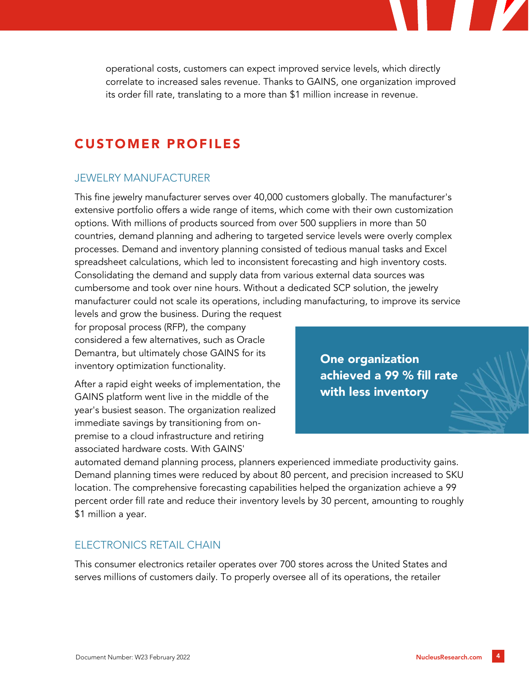operational costs, customers can expect improved service levels, which directly correlate to increased sales revenue. Thanks to GAINS, one organization improved its order fill rate, translating to a more than \$1 million increase in revenue.

## CUSTOMER PROFILES

### JEWELRY MANUFACTURER

This fine jewelry manufacturer serves over 40,000 customers globally. The manufacturer's extensive portfolio offers a wide range of items, which come with their own customization options. With millions of products sourced from over 500 suppliers in more than 50 countries, demand planning and adhering to targeted service levels were overly complex processes. Demand and inventory planning consisted of tedious manual tasks and Excel spreadsheet calculations, which led to inconsistent forecasting and high inventory costs. Consolidating the demand and supply data from various external data sources was cumbersome and took over nine hours. Without a dedicated SCP solution, the jewelry manufacturer could not scale its operations, including manufacturing, to improve its service

levels and grow the business. During the request for proposal process (RFP), the company considered a few alternatives, such as Oracle Demantra, but ultimately chose GAINS for its inventory optimization functionality.

After a rapid eight weeks of implementation, the GAINS platform went live in the middle of the year's busiest season. The organization realized immediate savings by transitioning from onpremise to a cloud infrastructure and retiring associated hardware costs. With GAINS'

One organization achieved a 99 % fill rate with less inventory

automated demand planning process, planners experienced immediate productivity gains. Demand planning times were reduced by about 80 percent, and precision increased to SKU location. The comprehensive forecasting capabilities helped the organization achieve a 99 percent order fill rate and reduce their inventory levels by 30 percent, amounting to roughly \$1 million a year.

#### ELECTRONICS RETAIL CHAIN

This consumer electronics retailer operates over 700 stores across the United States and serves millions of customers daily. To properly oversee all of its operations, the retailer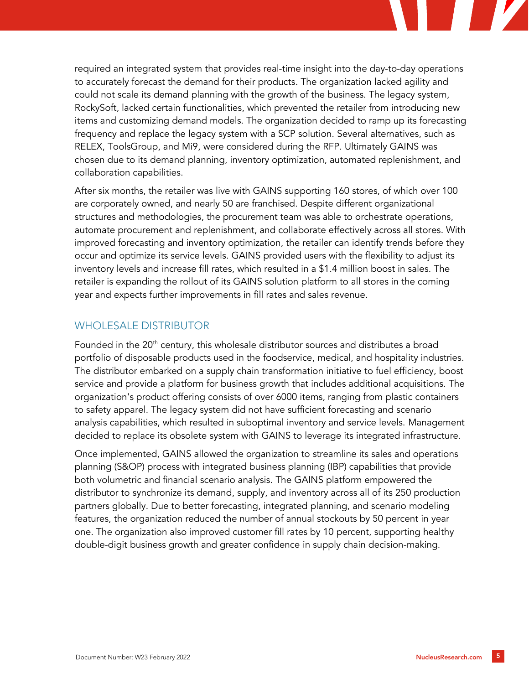

required an integrated system that provides real-time insight into the day-to-day operations to accurately forecast the demand for their products. The organization lacked agility and could not scale its demand planning with the growth of the business. The legacy system, RockySoft, lacked certain functionalities, which prevented the retailer from introducing new items and customizing demand models. The organization decided to ramp up its forecasting frequency and replace the legacy system with a SCP solution. Several alternatives, such as RELEX, ToolsGroup, and Mi9, were considered during the RFP. Ultimately GAINS was chosen due to its demand planning, inventory optimization, automated replenishment, and collaboration capabilities.

After six months, the retailer was live with GAINS supporting 160 stores, of which over 100 are corporately owned, and nearly 50 are franchised. Despite different organizational structures and methodologies, the procurement team was able to orchestrate operations, automate procurement and replenishment, and collaborate effectively across all stores. With improved forecasting and inventory optimization, the retailer can identify trends before they occur and optimize its service levels. GAINS provided users with the flexibility to adjust its inventory levels and increase fill rates, which resulted in a \$1.4 million boost in sales. The retailer is expanding the rollout of its GAINS solution platform to all stores in the coming year and expects further improvements in fill rates and sales revenue.

### WHOLESALE DISTRIBUTOR

Founded in the 20<sup>th</sup> century, this wholesale distributor sources and distributes a broad portfolio of disposable products used in the foodservice, medical, and hospitality industries. The distributor embarked on a supply chain transformation initiative to fuel efficiency, boost service and provide a platform for business growth that includes additional acquisitions. The organization's product offering consists of over 6000 items, ranging from plastic containers to safety apparel. The legacy system did not have sufficient forecasting and scenario analysis capabilities, which resulted in suboptimal inventory and service levels. Management decided to replace its obsolete system with GAINS to leverage its integrated infrastructure.

Once implemented, GAINS allowed the organization to streamline its sales and operations planning (S&OP) process with integrated business planning (IBP) capabilities that provide both volumetric and financial scenario analysis. The GAINS platform empowered the distributor to synchronize its demand, supply, and inventory across all of its 250 production partners globally. Due to better forecasting, integrated planning, and scenario modeling features, the organization reduced the number of annual stockouts by 50 percent in year one. The organization also improved customer fill rates by 10 percent, supporting healthy double-digit business growth and greater confidence in supply chain decision-making.